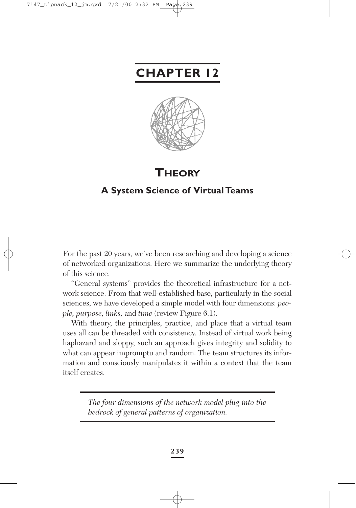# **CHAPTER 12**



**THEORY**

# **A System Science of Virtual Teams**

For the past 20 years, we've been researching and developing a science of networked organizations. Here we summarize the underlying theory of this science.

"General systems" provides the theoretical infrastructure for a network science. From that well-established base, particularly in the social sciences, we have developed a simple model with four dimensions: *people, purpose, links,* and *time* (review Figure 6.1).

With theory, the principles, practice, and place that a virtual team uses all can be threaded with consistency. Instead of virtual work being haphazard and sloppy, such an approach gives integrity and solidity to what can appear impromptu and random. The team structures its information and consciously manipulates it within a context that the team itself creates.

> *The four dimensions of the network model plug into the bedrock of general patterns of organization.*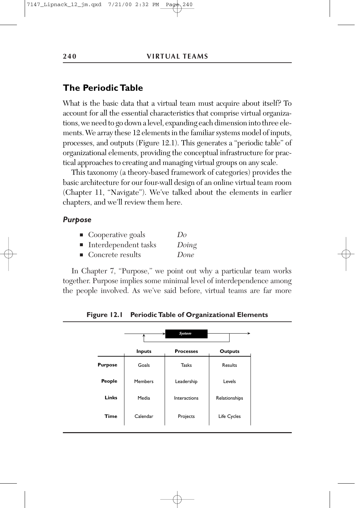# **The Periodic Table**

What is the basic data that a virtual team must acquire about itself? To account for all the essential characteristics that comprise virtual organizations, we need to go down a level, expanding each dimension into three elements. We array these 12 elements in the familiar systems model of inputs, processes, and outputs (Figure 12.1). This generates a "periodic table" of organizational elements, providing the conceptual infrastructure for practical approaches to creating and managing virtual groups on any scale.

This taxonomy (a theory-based framework of categories) provides the basic architecture for our four-wall design of an online virtual team room (Chapter 11, "Navigate"). We've talked about the elements in earlier chapters, and we'll review them here.

#### *Purpose*

| $\blacksquare$ Cooperative goals | Do    |
|----------------------------------|-------|
| Interdependent tasks             | Doing |
| • Concrete results               | Done  |

In Chapter 7, "Purpose," we point out why a particular team works together. Purpose implies some minimal level of interdependence among the people involved. As we've said before, virtual teams are far more



**Figure 12.1 Periodic Table of Organizational Elements**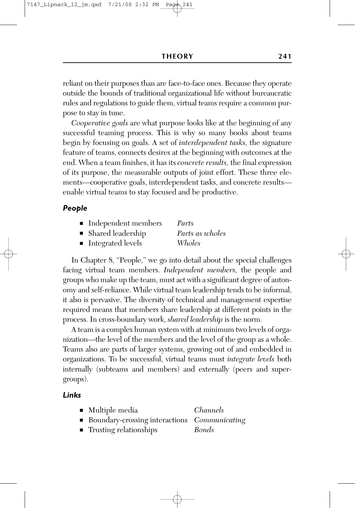reliant on their purposes than are face-to-face ones. Because they operate outside the bounds of traditional organizational life without bureaucratic rules and regulations to guide them, virtual teams require a common purpose to stay in tune.

*Cooperative goals* are what purpose looks like at the beginning of any successful teaming process. This is why so many books about teams begin by focusing on goals. A set of *interdependent tasks,* the signature feature of teams, connects desires at the beginning with outcomes at the end. When a team finishes, it has its *concrete results,* the final expression of its purpose, the measurable outputs of joint effort. These three elements—cooperative goals, interdependent tasks, and concrete results enable virtual teams to stay focused and be productive.

#### *People*

|  | Independent members | Parts |  |
|--|---------------------|-------|--|
|--|---------------------|-------|--|

- Shared leadership *Parts as wholes*
- Integrated levels *Wholes*

In Chapter 8, "People," we go into detail about the special challenges facing virtual team members. *Independent members,* the people and groups who make up the team, must act with a significant degree of autonomy and self-reliance. While virtual team leadership tends to be informal, it also is pervasive. The diversity of technical and management expertise required means that members share leadership at different points in the process. In cross-boundary work, *shared leadership* is the norm.

A team is a complex human system with at minimum two levels of organization—the level of the members and the level of the group as a whole. Teams also are parts of larger systems, growing out of and embedded in organizations. To be successful, virtual teams must *integrate levels* both internally (subteams and members) and externally (peers and supergroups).

#### *Links*

| $\blacksquare$ Multiple media                  | <i>Channels</i> |
|------------------------------------------------|-----------------|
| • Boundary-crossing interactions Communicating |                 |
| $\blacksquare$ Trusting relationships          | <b>Bonds</b>    |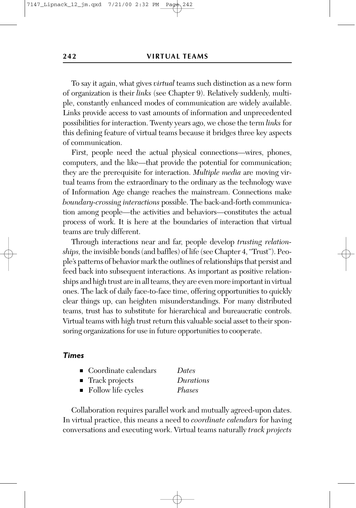To say it again, what gives *virtual* teams such distinction as a new form of organization is their *links* (see Chapter 9). Relatively suddenly, multiple, constantly enhanced modes of communication are widely available. Links provide access to vast amounts of information and unprecedented possibilities for interaction. Twenty years ago, we chose the term *links* for this defining feature of virtual teams because it bridges three key aspects of communication.

First, people need the actual physical connections—wires, phones, computers, and the like—that provide the potential for communication; they are the prerequisite for interaction. *Multiple media* are moving virtual teams from the extraordinary to the ordinary as the technology wave of Information Age change reaches the mainstream. Connections make *boundary-crossing interactions* possible. The back-and-forth communication among people—the activities and behaviors—constitutes the actual process of work. It is here at the boundaries of interaction that virtual teams are truly different.

Through interactions near and far, people develop *trusting relationships,* the invisible bonds (and baffles) of life (see Chapter 4, "Trust"). People's patterns of behavior mark the outlines of relationships that persist and feed back into subsequent interactions. As important as positive relationships and high trust are in all teams, they are even more important in virtual ones. The lack of daily face-to-face time, offering opportunities to quickly clear things up, can heighten misunderstandings. For many distributed teams, trust has to substitute for hierarchical and bureaucratic controls. Virtual teams with high trust return this valuable social asset to their sponsoring organizations for use in future opportunities to cooperate.

## *Times*

| $\blacksquare$ Coordinate calendars | <i>Dates</i> |
|-------------------------------------|--------------|
| $\blacksquare$ Track projects       | Durations    |
| • Follow life cycles                | Phases       |

Collaboration requires parallel work and mutually agreed-upon dates. In virtual practice, this means a need to *coordinate calendars* for having conversations and executing work. Virtual teams naturally *track projects*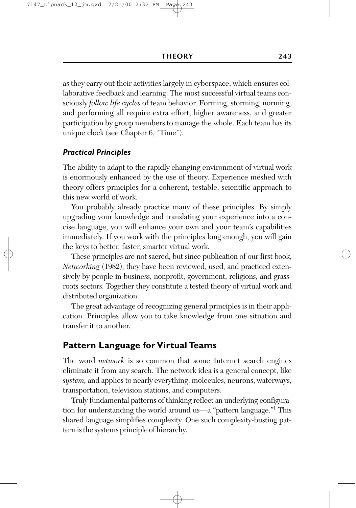as they carry out their activities largely in cyberspace, which ensures collaborative feedback and learning. The most successful virtual teams consciously *follow life cycles* of team behavior. Forming, storming, norming, and performing all require extra effort, higher awareness, and greater participation by group members to manage the whole. Each team has its unique clock (see Chapter 6, "Time").

#### *Practical Principles*

The ability to adapt to the rapidly changing environment of virtual work is enormously enhanced by the use of theory. Experience meshed with theory offers principles for a coherent, testable, scientific approach to this new world of work.

You probably already practice many of these principles. By simply upgrading your knowledge and translating your experience into a concise language, you will enhance your own and your team's capabilities immediately. If you work with the principles long enough, you will gain the keys to better, faster, smarter virtual work.

These principles are not sacred, but since publication of our first book, *Networking* (1982), they have been reviewed, used, and practiced extensively by people in business, nonprofit, government, religions, and grassroots sectors. Together they constitute a tested theory of virtual work and distributed organization.

The great advantage of recognizing general principles is in their application. Principles allow you to take knowledge from one situation and transfer it to another.

## **Pattern Language for Virtual Teams**

The word *network* is so common that some Internet search engines eliminate it from any search. The network idea is a general concept, like *system,* and applies to nearly everything: molecules, neurons, waterways, transportation, television stations, and computers.

Truly fundamental patterns of thinking reflect an underlying configuration for understanding the world around us—a "pattern language."1 This shared language simplifies complexity. One such complexity-busting pattern is the systems principle of hierarchy.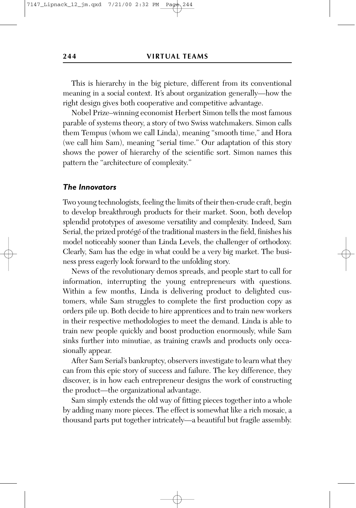This is hierarchy in the big picture, different from its conventional meaning in a social context. It's about organization generally—how the right design gives both cooperative and competitive advantage.

Nobel Prize–winning economist Herbert Simon tells the most famous parable of systems theory, a story of two Swiss watchmakers. Simon calls them Tempus (whom we call Linda), meaning "smooth time," and Hora (we call him Sam), meaning "serial time." Our adaptation of this story shows the power of hierarchy of the scientific sort. Simon names this pattern the "architecture of complexity."

#### *The Innovators*

Two young technologists, feeling the limits of their then-crude craft, begin to develop breakthrough products for their market. Soon, both develop splendid prototypes of awesome versatility and complexity. Indeed, Sam Serial, the prized protégé of the traditional masters in the field, finishes his model noticeably sooner than Linda Levels, the challenger of orthodoxy. Clearly, Sam has the edge in what could be a very big market. The business press eagerly look forward to the unfolding story.

News of the revolutionary demos spreads, and people start to call for information, interrupting the young entrepreneurs with questions. Within a few months, Linda is delivering product to delighted customers, while Sam struggles to complete the first production copy as orders pile up. Both decide to hire apprentices and to train new workers in their respective methodologies to meet the demand. Linda is able to train new people quickly and boost production enormously, while Sam sinks further into minutiae, as training crawls and products only occasionally appear.

After Sam Serial's bankruptcy, observers investigate to learn what they can from this epic story of success and failure. The key difference, they discover, is in how each entrepreneur designs the work of constructing the product—the organizational advantage.

Sam simply extends the old way of fitting pieces together into a whole by adding many more pieces. The effect is somewhat like a rich mosaic, a thousand parts put together intricately—a beautiful but fragile assembly.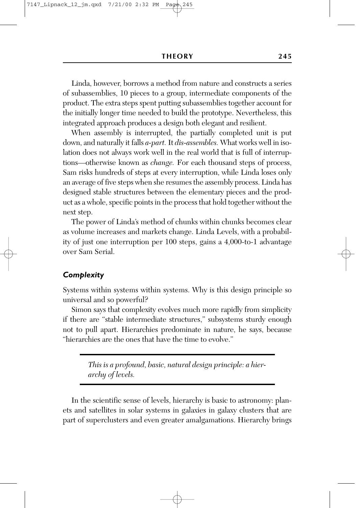Linda, however, borrows a method from nature and constructs a series of subassemblies, 10 pieces to a group, intermediate components of the product. The extra steps spent putting subassemblies together account for the initially longer time needed to build the prototype. Nevertheless, this integrated approach produces a design both elegant and resilient.

When assembly is interrupted, the partially completed unit is put down, and naturally it falls *a-part.*It *dis-assembles.* What works well in isolation does not always work well in the real world that is full of interruptions—otherwise known as *change.* For each thousand steps of process, Sam risks hundreds of steps at every interruption, while Linda loses only an average of five steps when she resumes the assembly process. Linda has designed stable structures between the elementary pieces and the product as a whole, specific points in the process that hold together without the next step.

The power of Linda's method of chunks within chunks becomes clear as volume increases and markets change. Linda Levels, with a probability of just one interruption per 100 steps, gains a 4,000-to-1 advantage over Sam Serial.

#### *Complexity*

Systems within systems within systems. Why is this design principle so universal and so powerful?

Simon says that complexity evolves much more rapidly from simplicity if there are "stable intermediate structures," subsystems sturdy enough not to pull apart. Hierarchies predominate in nature, he says, because "hierarchies are the ones that have the time to evolve."

> *This is a profound, basic, natural design principle: a hierarchy of levels.*

In the scientific sense of levels, hierarchy is basic to astronomy: planets and satellites in solar systems in galaxies in galaxy clusters that are part of superclusters and even greater amalgamations. Hierarchy brings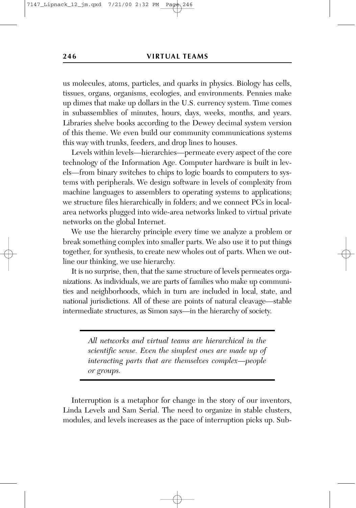us molecules, atoms, particles, and quarks in physics. Biology has cells, tissues, organs, organisms, ecologies, and environments. Pennies make up dimes that make up dollars in the U.S. currency system. Time comes in subassemblies of minutes, hours, days, weeks, months, and years. Libraries shelve books according to the Dewey decimal system version of this theme. We even build our community communications systems this way with trunks, feeders, and drop lines to houses.

Levels within levels—hierarchies—permeate every aspect of the core technology of the Information Age. Computer hardware is built in levels—from binary switches to chips to logic boards to computers to systems with peripherals. We design software in levels of complexity from machine languages to assemblers to operating systems to applications; we structure files hierarchically in folders; and we connect PCs in localarea networks plugged into wide-area networks linked to virtual private networks on the global Internet.

We use the hierarchy principle every time we analyze a problem or break something complex into smaller parts. We also use it to put things together, for synthesis, to create new wholes out of parts. When we outline our thinking, we use hierarchy.

It is no surprise, then, that the same structure of levels permeates organizations. As individuals, we are parts of families who make up communities and neighborhoods, which in turn are included in local, state, and national jurisdictions. All of these are points of natural cleavage—stable intermediate structures, as Simon says—in the hierarchy of society.

> *All networks and virtual teams are hierarchical in the scientific sense. Even the simplest ones are made up of interacting parts that are themselves complex—people or groups.*

Interruption is a metaphor for change in the story of our inventors, Linda Levels and Sam Serial. The need to organize in stable clusters, modules, and levels increases as the pace of interruption picks up. Sub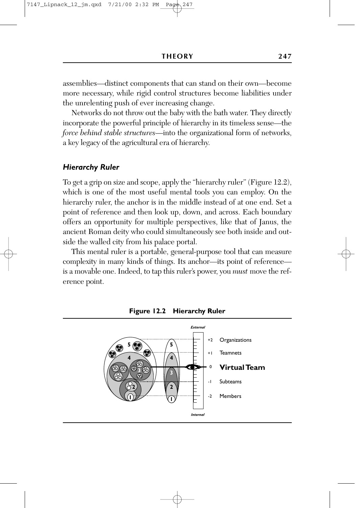assemblies—distinct components that can stand on their own—become more necessary, while rigid control structures become liabilities under the unrelenting push of ever increasing change.

Networks do not throw out the baby with the bath water. They directly incorporate the powerful principle of hierarchy in its timeless sense—the *force behind stable structures—*into the organizational form of networks, a key legacy of the agricultural era of hierarchy.

#### *Hierarchy Ruler*

To get a grip on size and scope, apply the "hierarchy ruler" (Figure 12.2), which is one of the most useful mental tools you can employ. On the hierarchy ruler, the anchor is in the middle instead of at one end. Set a point of reference and then look up, down, and across. Each boundary offers an opportunity for multiple perspectives, like that of Janus, the ancient Roman deity who could simultaneously see both inside and outside the walled city from his palace portal.

This mental ruler is a portable, general-purpose tool that can measure complexity in many kinds of things. Its anchor—its point of reference is a movable one. Indeed, to tap this ruler's power, you *must* move the reference point.



**Figure 12.2 Hierarchy Ruler**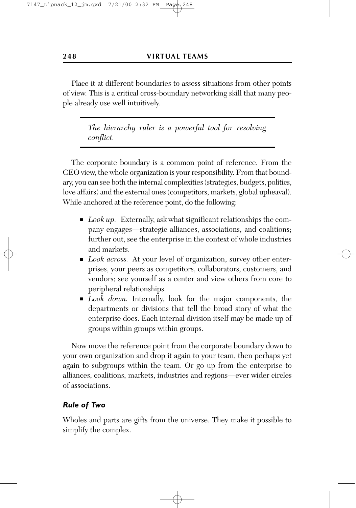Place it at different boundaries to assess situations from other points of view. This is a critical cross-boundary networking skill that many people already use well intuitively.

> *The hierarchy ruler is a powerful tool for resolving conflict.*

The corporate boundary is a common point of reference. From the CEO view, the whole organization is your responsibility. From that boundary, you can see both the internal complexities (strategies, budgets, politics, love affairs) and the external ones (competitors, markets, global upheaval). While anchored at the reference point, do the following:

- *Look up.* Externally, ask what significant relationships the company engages—strategic alliances, associations, and coalitions; further out, see the enterprise in the context of whole industries and markets.
- *Look across*. At your level of organization, survey other enterprises, your peers as competitors, collaborators, customers, and vendors; see yourself as a center and view others from core to peripheral relationships.
- *Look down.* Internally, look for the major components, the departments or divisions that tell the broad story of what the enterprise does. Each internal division itself may be made up of groups within groups within groups.

Now move the reference point from the corporate boundary down to your own organization and drop it again to your team, then perhaps yet again to subgroups within the team. Or go up from the enterprise to alliances, coalitions, markets, industries and regions—ever wider circles of associations.

# *Rule of Two*

Wholes and parts are gifts from the universe. They make it possible to simplify the complex.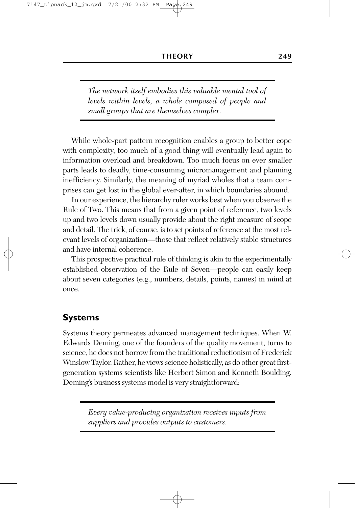*The network itself embodies this valuable mental tool of levels within levels, a whole composed of people and small groups that are themselves complex.*

While whole-part pattern recognition enables a group to better cope with complexity, too much of a good thing will eventually lead again to information overload and breakdown. Too much focus on ever smaller parts leads to deadly, time-consuming micromanagement and planning inefficiency. Similarly, the meaning of myriad wholes that a team comprises can get lost in the global ever-after, in which boundaries abound.

In our experience, the hierarchy ruler works best when you observe the Rule of Two. This means that from a given point of reference, two levels up and two levels down usually provide about the right measure of scope and detail. The trick, of course, is to set points of reference at the most relevant levels of organization—those that reflect relatively stable structures and have internal coherence.

This prospective practical rule of thinking is akin to the experimentally established observation of the Rule of Seven—people can easily keep about seven categories (e.g., numbers, details, points, names) in mind at once.

# **Systems**

Systems theory permeates advanced management techniques. When W. Edwards Deming, one of the founders of the quality movement, turns to science, he does not borrow from the traditional reductionism of Frederick Winslow Taylor. Rather, he views science holistically, as do other great firstgeneration systems scientists like Herbert Simon and Kenneth Boulding. Deming's business systems model is very straightforward:

> *Every value-producing organization receives inputs from suppliers and provides outputs to customers.*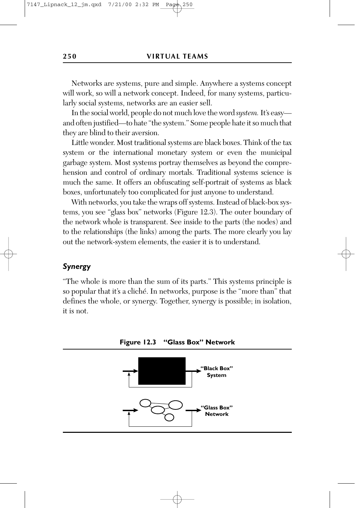Networks are systems, pure and simple. Anywhere a systems concept will work, so will a network concept. Indeed, for many systems, particularly social systems, networks are an easier sell.

In the social world, people do not much love the word *system.*It's easy and often justified—to hate "the system." Some people hate it so much that they are blind to their aversion.

Little wonder. Most traditional systems are black boxes. Think of the tax system or the international monetary system or even the municipal garbage system. Most systems portray themselves as beyond the comprehension and control of ordinary mortals. Traditional systems science is much the same. It offers an obfuscating self-portrait of systems as black boxes, unfortunately too complicated for just anyone to understand.

With networks, you take the wraps off systems. Instead of black-box systems, you see "glass box" networks (Figure 12.3). The outer boundary of the network whole is transparent. See inside to the parts (the nodes) and to the relationships (the links) among the parts. The more clearly you lay out the network-system elements, the easier it is to understand.

## *Synergy*

"The whole is more than the sum of its parts." This systems principle is so popular that it's a cliché. In networks, purpose is the "more than" that defines the whole, or synergy. Together, synergy is possible; in isolation, it is not.

**Figure 12.3 "Glass Box" Network**

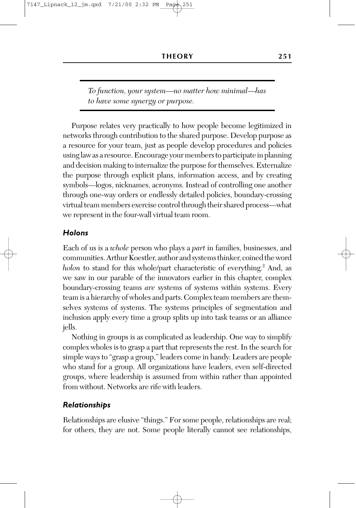*To function, your system—no matter how minimal—has to have some synergy or purpose.*

Purpose relates very practically to how people become legitimized in networks through contribution to the shared purpose. Develop purpose as a resource for your team, just as people develop procedures and policies using law as a resource. Encourage your members to participate in planning and decision making to internalize the purpose for themselves. Externalize the purpose through explicit plans, information access, and by creating symbols—logos, nicknames, acronyms. Instead of controlling one another through one-way orders or endlessly detailed policies, boundary-crossing virtual team members exercise control through their shared process—what we represent in the four-wall virtual team room.

## *Holons*

Each of us is a *whole* person who plays a *part* in families, businesses, and communities. Arthur Koestler, author and systems thinker, coined the word *holon* to stand for this whole/part characteristic of everything.<sup>2</sup> And, as we saw in our parable of the innovators earlier in this chapter, complex boundary-crossing teams *are* systems of systems within systems. Every team is a hierarchy of wholes and parts. Complex team members are themselves systems of systems. The systems principles of segmentation and inclusion apply every time a group splits up into task teams or an alliance jells.

Nothing in groups is as complicated as leadership. One way to simplify complex wholes is to grasp a part that represents the rest. In the search for simple ways to "grasp a group," leaders come in handy. Leaders are people who stand for a group. All organizations have leaders, even self-directed groups, where leadership is assumed from within rather than appointed from without. Networks are rife with leaders.

#### *Relationships*

Relationships are elusive "things." For some people, relationships are real; for others, they are not. Some people literally cannot see relationships,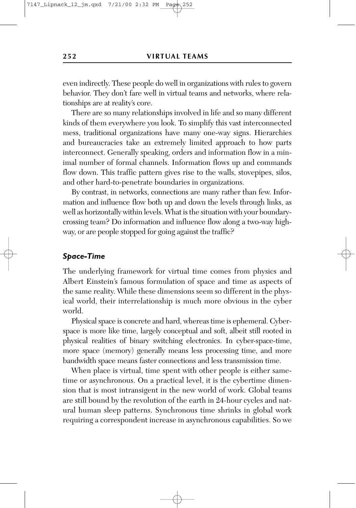even indirectly. These people do well in organizations with rules to govern behavior. They don't fare well in virtual teams and networks, where relationships are at reality's core.

There are so many relationships involved in life and so many different kinds of them everywhere you look. To simplify this vast interconnected mess, traditional organizations have many one-way signs. Hierarchies and bureaucracies take an extremely limited approach to how parts interconnect. Generally speaking, orders and information flow in a minimal number of formal channels. Information flows up and commands flow down. This traffic pattern gives rise to the walls, stovepipes, silos, and other hard-to-penetrate boundaries in organizations.

By contrast, in networks, connections are many rather than few. Information and influence flow both up and down the levels through links, as well as horizontally within levels. What is the situation with your boundarycrossing team? Do information and influence flow along a two-way highway, or are people stopped for going against the traffic?

## *Space-Time*

The underlying framework for virtual time comes from physics and Albert Einstein's famous formulation of space and time as aspects of the same reality. While these dimensions seem so different in the physical world, their interrelationship is much more obvious in the cyber world.

Physical space is concrete and hard, whereas time is ephemeral. Cyberspace is more like time, largely conceptual and soft, albeit still rooted in physical realities of binary switching electronics. In cyber-space-time, more space (memory) generally means less processing time, and more bandwidth space means faster connections and less transmission time.

When place is virtual, time spent with other people is either sametime or asynchronous. On a practical level, it is the cybertime dimension that is most intransigent in the new world of work. Global teams are still bound by the revolution of the earth in 24-hour cycles and natural human sleep patterns. Synchronous time shrinks in global work requiring a correspondent increase in asynchronous capabilities. So we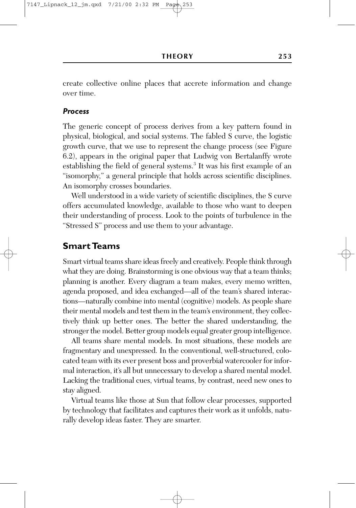create collective online places that accrete information and change over time.

#### *Process*

The generic concept of process derives from a key pattern found in physical, biological, and social systems. The fabled S curve, the logistic growth curve, that we use to represent the change process (see Figure 6.2), appears in the original paper that Ludwig von Bertalanffy wrote establishing the field of general systems.<sup>3</sup> It was his first example of an "isomorphy," a general principle that holds across scientific disciplines. An isomorphy crosses boundaries.

Well understood in a wide variety of scientific disciplines, the S curve offers accumulated knowledge, available to those who want to deepen their understanding of process. Look to the points of turbulence in the "Stressed S" process and use them to your advantage.

# **Smart Teams**

Smart virtual teams share ideas freely and creatively. People think through what they are doing. Brainstorming is one obvious way that a team thinks; planning is another. Every diagram a team makes, every memo written, agenda proposed, and idea exchanged—all of the team's shared interactions—naturally combine into mental (cognitive) models. As people share their mental models and test them in the team's environment, they collectively think up better ones. The better the shared understanding, the stronger the model. Better group models equal greater group intelligence.

All teams share mental models. In most situations, these models are fragmentary and unexpressed. In the conventional, well-structured, colocated team with its ever present boss and proverbial watercooler for informal interaction, it's all but unnecessary to develop a shared mental model. Lacking the traditional cues, virtual teams, by contrast, need new ones to stay aligned.

Virtual teams like those at Sun that follow clear processes, supported by technology that facilitates and captures their work as it unfolds, naturally develop ideas faster. They are smarter.